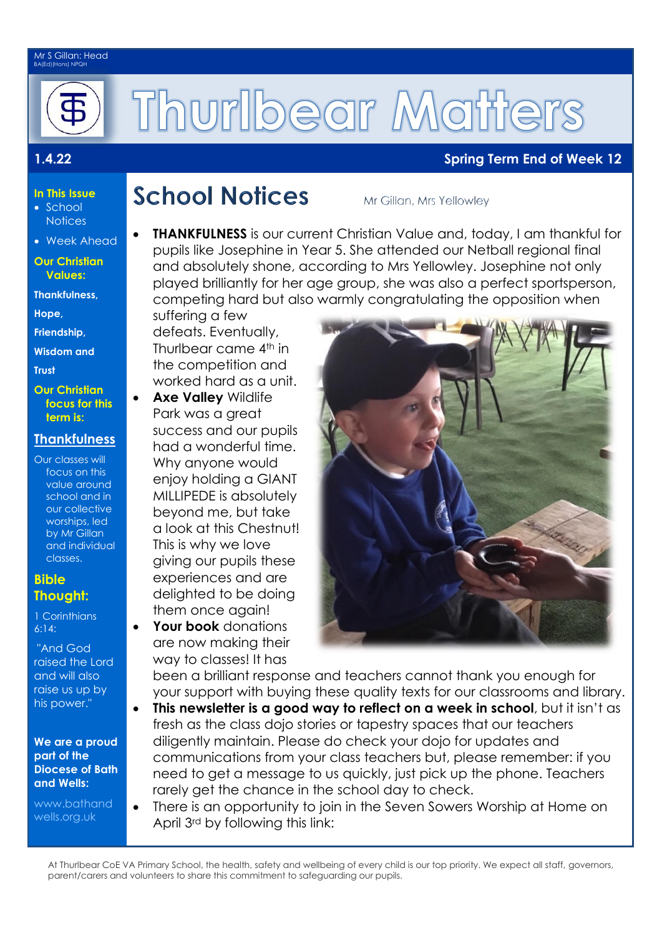#### Mr S Gillan: Head BA(Ed)(Hons) NPQH



# Thurlbear Matters

#### **1.4.22 Spring Term End of Week 12**

- **In This Issue** • School
- **Notices** Week Ahead

#### **Our Christian Values:**

**Thankfulness,** 

**Hope,** 

**Friendship,**

**Wisdom and** 

**Trust** 

**Our Christian focus for this term is:**

### **Thankfulness**

Our classes will focus on this value around school and in our collective worships, led by Mr Gillan and individual classes.

#### **Bible Thought:**

1 Corinthians 6:14:

"And God raised the Lord and will also raise us up by his power."

#### **We are a proud part of the Diocese of Bath and Wells:**

[www.bathand](http://www.bathandwells.org.uk/) [wells.org.uk](http://www.bathandwells.org.uk/)

## **School Notices**

Mr Gillan, Mrs Yellowley

 **THANKFULNESS** is our current Christian Value and, today, I am thankful for pupils like Josephine in Year 5. She attended our Netball regional final and absolutely shone, according to Mrs Yellowley. Josephine not only played brilliantly for her age group, she was also a perfect sportsperson, competing hard but also warmly congratulating the opposition when

suffering a few defeats. Eventually, Thurlbear came 4th in the competition and worked hard as a unit.

- **Axe Valley** Wildlife Park was a great success and our pupils had a wonderful time. Why anyone would enjoy holding a GIANT MILLIPEDE is absolutely beyond me, but take a look at this Chestnut! This is why we love giving our pupils these experiences and are delighted to be doing them once again!
- **Your book** donations are now making their way to classes! It has



been a brilliant response and teachers cannot thank you enough for your support with buying these quality texts for our classrooms and library.

- **This newsletter is a good way to reflect on a week in school**, but it isn't as fresh as the class dojo stories or tapestry spaces that our teachers diligently maintain. Please do check your dojo for updates and communications from your class teachers but, please remember: if you need to get a message to us quickly, just pick up the phone. Teachers rarely get the chance in the school day to check.
	- There is an opportunity to join in the Seven Sowers Worship at Home on April 3rd by following this link:

At Thurlbear CoE VA Primary School, the health, safety and wellbeing of every child is our top priority. We expect all staff, governors, parent/carers and volunteers to share this commitment to safeguarding our pupils.